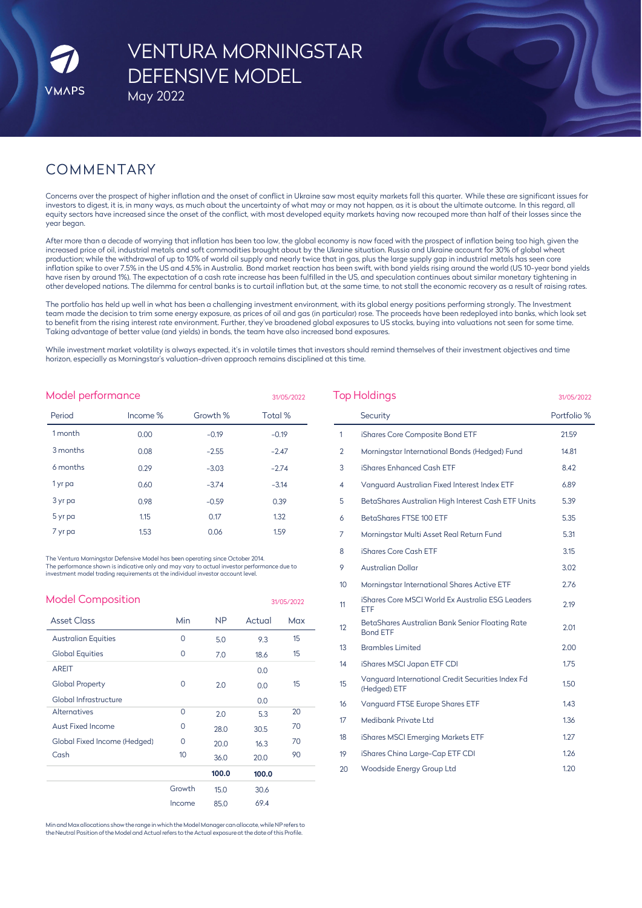# VENTURA MORNINGSTAR DEFENSIVE MODEL

May 2022

# COMMENTARY

Concerns over the prospect of higher inflation and the onset of conflict in Ukraine saw most equity markets fall this quarter. While these are significant issues for investors to digest, it is, in many ways, as much about the uncertainty of what may or may not happen, as it is about the ultimate outcome. In this regard, all equity sectors have increased since the onset of the conflict, with most developed equity markets having now recouped more than half of their losses since the year began.

After more than a decade of worrying that inflation has been too low, the global economy is now faced with the prospect of inflation being too high, given the increased price of oil, industrial metals and soft commodities brought about by the Ukraine situation. Russia and Ukraine account for 30% of global wheat production; while the withdrawal of up to 10% of world oil supply and nearly twice that in gas, plus the large supply gap in industrial metals has seen core inflation spike to over 7.5% in the US and 4.5% in Australia. Bond market reaction has been swift, with bond yields rising around the world (US 10-year bond yields have risen by around 1%). The expectation of a cash rate increase has been fulfilled in the US, and speculation continues about similar monetary tightening in other developed nations. The dilemma for central banks is to curtail inflation but, at the same time, to not stall the economic recovery as a result of raising rates.

The portfolio has held up well in what has been a challenging investment environment, with its global energy positions performing strongly. The Investment team made the decision to trim some energy exposure, as prices of oil and gas (in particular) rose. The proceeds have been redeployed into banks, which look set to benefit from the rising interest rate environment. Further, they've broadened global exposures to US stocks, buying into valuations not seen for some time. Taking advantage of better value (and yields) in bonds, the team have also increased bond exposures.

While investment market volatility is always expected, it's in volatile times that investors should remind themselves of their investment objectives and time horizon, especially as Morningstar's valuation-driven approach remains disciplined at this time.

| Model performance<br>31/05/2022 |          |          |         |  |  |
|---------------------------------|----------|----------|---------|--|--|
| Period                          | Income % | Growth % | Total % |  |  |
| 1 month                         | 0.00     | $-0.19$  | $-0.19$ |  |  |
| 3 months                        | 0.08     | $-2.55$  | $-2.47$ |  |  |
| 6 months                        | 0.29     | $-3.03$  | $-2.74$ |  |  |
| 1 yr pa                         | 0.60     | $-3.74$  | $-3.14$ |  |  |
| 3 yr pa                         | 0.98     | $-0.59$  | 0.39    |  |  |
| 5 yr pa                         | 1.15     | 0.17     | 1.32    |  |  |
| 7 yr pa                         | 1.53     | 0.06     | 1.59    |  |  |

The Ventura Morningstar Defensive Model has been operating since October 2014. The performance shown is indicative only and may vary to actual investor performance due to investment model trading requirements at the individual investor account level.

| <b>Model Composition</b>     |          |           |        | 31/05/2022 |
|------------------------------|----------|-----------|--------|------------|
| <b>Asset Class</b>           | Min      | <b>NP</b> | Actual | Max        |
| <b>Australian Equities</b>   | $\Omega$ | 5.0       | 9.3    | 15         |
| <b>Global Equities</b>       | 0        | 7.0       | 18.6   | 15         |
| <b>AREIT</b>                 |          |           | 0.0    |            |
| <b>Global Property</b>       | 0        | 2.0       | 0.0    | 15         |
| Global Infrastructure        |          |           | 0.0    |            |
| <b>Alternatives</b>          | $\Omega$ | 2.0       | 5.3    | 20         |
| Aust Fixed Income            | 0        | 28.0      | 30.5   | 70         |
| Global Fixed Income (Hedged) | 0        | 20.0      | 16.3   | 70         |
| Cash                         | 10       | 36.0      | 20.0   | 90         |
|                              |          | 100.0     | 100.0  |            |
|                              | Growth   | 15.0      | 30.6   |            |
|                              | Income   | 85.0      | 69.4   |            |

Min and Max allocations show the range in which the Model Manager can allocate, while NP refers to<br>the Neutral Position of the Model and Actual refers to the Actual exposure at the date of this Profile.

| <b>Top Holdings</b> | 31/05/2022                                                         |             |
|---------------------|--------------------------------------------------------------------|-------------|
|                     | Security                                                           | Portfolio % |
| 1                   | iShares Core Composite Bond ETF                                    | 21.59       |
| 2                   | Morningstar International Bonds (Hedged) Fund                      | 14.81       |
| 3                   | iShares Enhanced Cash ETF                                          | 8.42        |
| 4                   | Vanguard Australian Fixed Interest Index ETF                       | 6.89        |
| 5                   | BetaShares Australian High Interest Cash ETF Units                 | 5.39        |
| 6                   | BetaShares FTSE 100 ETF                                            | 5.35        |
| 7                   | Morningstar Multi Asset Real Return Fund                           | 5.31        |
| 8                   | iShares Core Cash ETF                                              | 3.15        |
| 9                   | Australian Dollar                                                  | 3.02        |
| 10                  | Morningstar International Shares Active ETF                        | 2.76        |
| 11                  | iShares Core MSCI World Ex Australia ESG Leaders<br>ETF            | 2.19        |
| 12                  | BetaShares Australian Bank Senior Floating Rate<br><b>Bond ETF</b> | 2.01        |
| 13                  | <b>Brambles Limited</b>                                            | 2.00        |
| 14                  | iShares MSCI Japan ETF CDI                                         | 1.75        |
| 15                  | Vanguard International Credit Securities Index Fd<br>(Hedged) ETF  | 1.50        |
| 16                  | Vanguard FTSE Europe Shares ETF                                    | 1.43        |
| 17                  | Medibank Private Ltd                                               | 1.36        |
| 18                  | iShares MSCI Emerging Markets ETF                                  | 1.27        |
| 19                  | iShares China Large-Cap ETF CDI                                    | 1.26        |
| 20                  | Woodside Energy Group Ltd                                          | 1.20        |